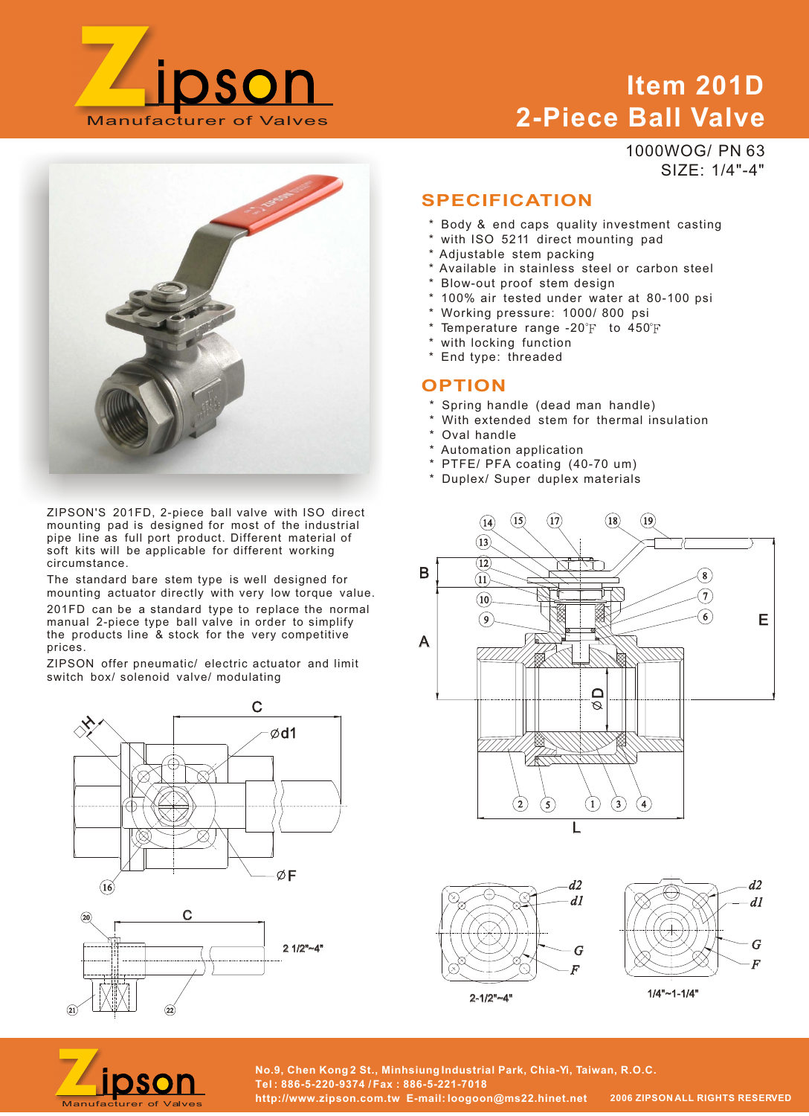

# **Item 201D 2-Piece Ball Valve**

SIZE: 1/4"-4"

1000WOG/ PN 63 **SPECIFICATION** \* Body & end caps quality investment casting with ISO 5211 direct mounting pad

- Adjustable stem packing
- Available in stainless steel or carbon steel
- Blow-out proof stem design
- 100% air tested under water at 80-100 psi
- Working pressure: 1000/ 800 psi
- \* Temperature range -20 $\rm F$  to 450 $\rm F$
- with locking function
- \* End type: threaded

#### **OPTION**

- \* Spring handle (dead man handle)
- With extended stem for thermal insulation
- \* Oval handle
- \* Automation application
- \* PTFE/ PFA coating (40-70 um)
- \* Duplex/ Super duplex materials







2-1/2"~4"

1/4"~1-1/4"



**No.9, Chen Kong 2 St., Minhsiung Industrial Park, Chia-Yi, Taiwan, R.O.C. Tel : 886-5-220-9374 / Fax : 886-5-221-7018 http://www.zipson.com.tw E-mail: loogoon@ms22.hinet.net 2006 ZIPSON ALL RIGHTS RESERVED** 

ZIPSON'S 201FD, 2-piece ball valve with ISO direct mounting pad is designed for most of the industrial pipe line as full port product. Different material of soft kits will be applicable for different working circumstance.

The standard bare stem type is well designed for mounting actuator directly with very low torque value. 201FD can be a standard type to replace the normal manual 2-piece type ball valve in order to simplify the products line & stock for the very competitive prices.

ZIPSON offer pneumatic/ electric actuator and limit switch box/ solenoid valve/ modulating





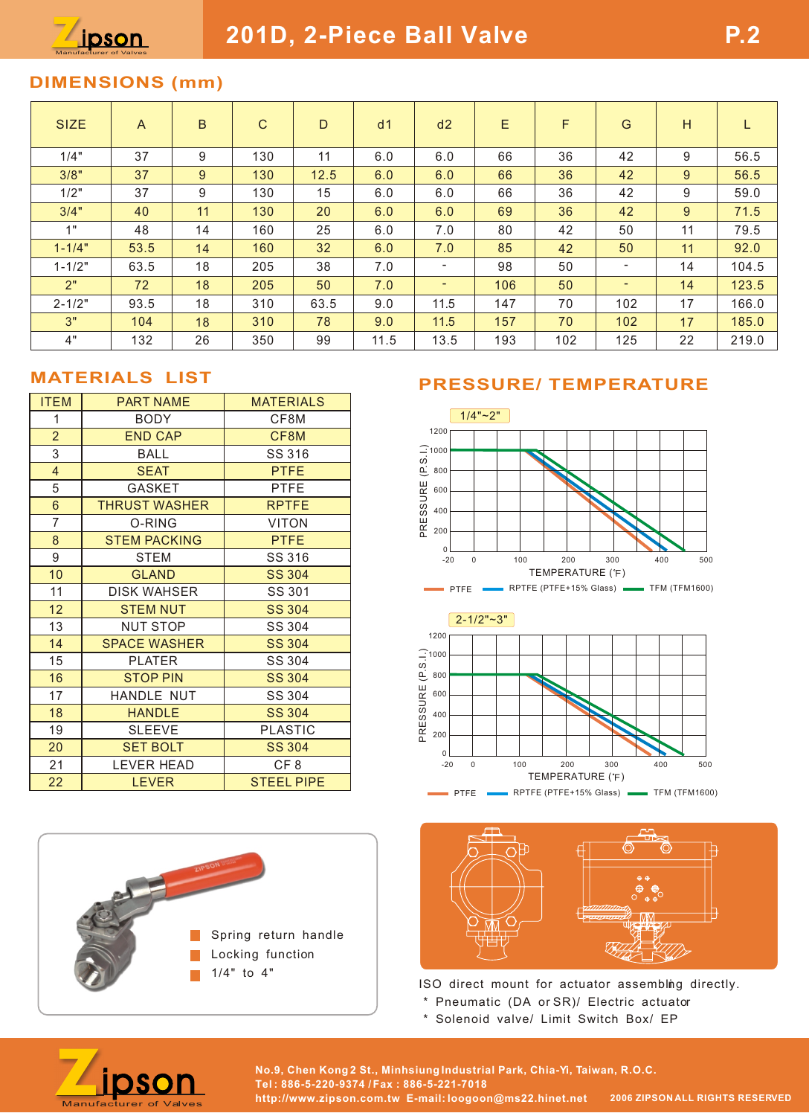## **DIMENSIONS (mm)**

| <b>SIZE</b> | $\overline{A}$ | B  | $\mathsf{C}$ | D    | d <sub>1</sub> | d2   | Ε   | F   | G                        | H           |       |
|-------------|----------------|----|--------------|------|----------------|------|-----|-----|--------------------------|-------------|-------|
| 1/4"        | 37             | 9  | 130          | 11   | 6.0            | 6.0  | 66  | 36  | 42                       | 9           | 56.5  |
| 3/8"        | 37             | 9  | 130          | 12.5 | 6.0            | 6.0  | 66  | 36  | 42                       | $9^{\circ}$ | 56.5  |
| 1/2"        | 37             | 9  | 130          | 15   | 6.0            | 6.0  | 66  | 36  | 42                       | 9           | 59.0  |
| 3/4"        | 40             | 11 | 130          | 20   | 6.0            | 6.0  | 69  | 36  | 42                       | 9           | 71.5  |
| 1"          | 48             | 14 | 160          | 25   | 6.0            | 7.0  | 80  | 42  | 50                       | 11          | 79.5  |
| $1 - 1/4"$  | 53.5           | 14 | 160          | 32   | 6.0            | 7.0  | 85  | 42  | 50                       | 11          | 92.0  |
| $1 - 1/2"$  | 63.5           | 18 | 205          | 38   | 7.0            | ٠    | 98  | 50  | ۰                        | 14          | 104.5 |
| 2"          | 72             | 18 | 205          | 50   | 7.0            | -    | 106 | 50  | $\overline{\phantom{0}}$ | 14          | 123.5 |
| $2 - 1/2"$  | 93.5           | 18 | 310          | 63.5 | 9.0            | 11.5 | 147 | 70  | 102                      | 17          | 166.0 |
| 3"          | 104            | 18 | 310          | 78   | 9.0            | 11.5 | 157 | 70  | 102                      | 17          | 185.0 |
| 4"          | 132            | 26 | 350          | 99   | 11.5           | 13.5 | 193 | 102 | 125                      | 22          | 219.0 |

#### **MATERIALS LIST**

| <b>ITEM</b>             | <b>PART NAME</b>     | <b>MATERIALS</b>  |
|-------------------------|----------------------|-------------------|
| 1                       | <b>BODY</b>          | CF8M              |
| $\overline{2}$          | <b>END CAP</b>       | CF8M              |
| 3                       | BALL                 | SS 316            |
| $\overline{\mathbf{4}}$ | <b>SEAT</b>          | <b>PTFE</b>       |
| 5                       | <b>GASKET</b>        | <b>PTFE</b>       |
| 6                       | <b>THRUST WASHER</b> | <b>RPTFE</b>      |
| $\overline{7}$          | O-RING               | <b>VITON</b>      |
| 8                       | <b>STEM PACKING</b>  | <b>PTFE</b>       |
| 9                       | STEM                 | SS 316            |
| 10                      | <b>GLAND</b>         | <b>SS 304</b>     |
| 11                      | <b>DISK WAHSER</b>   | SS 301            |
| 12                      | <b>STEM NUT</b>      | <b>SS 304</b>     |
| 13                      | NUT STOP             | SS 304            |
| 14                      | <b>SPACE WASHER</b>  | <b>SS 304</b>     |
| 15                      | <b>PLATER</b>        | SS 304            |
| 16                      | <b>STOP PIN</b>      | <b>SS 304</b>     |
| 17                      | HANDLE NUT           | SS 304            |
| 18                      | <b>HANDLE</b>        | <b>SS 304</b>     |
| 19                      | <b>SLEEVE</b>        | <b>PLASTIC</b>    |
| 20                      | <b>SET BOLT</b>      | <b>SS 304</b>     |
| 21                      | <b>LEVER HEAD</b>    | CF <sub>8</sub>   |
| 22                      | <b>LEVER</b>         | <b>STEEL PIPE</b> |



### **PRESSURE/ TEMPERATURE**





ISO direct mount for actuator assembling directly.

- \* Pneumatic (DA or SR)/ Electric actuator
- \* Solenoid valve/ Limit Switch Box/ EP



**No.9, Chen Kong 2 St., Minhsiung Industrial Park, Chia-Yi, Taiwan, R.O.C. Tel : 886-5-220-9374 / Fax : 886-5-221-7018 http://www.zipson.com.tw E-mail: loogoon@ms22.hinet.net 2006 ZIPSON ALL RIGHTS RESERVED**